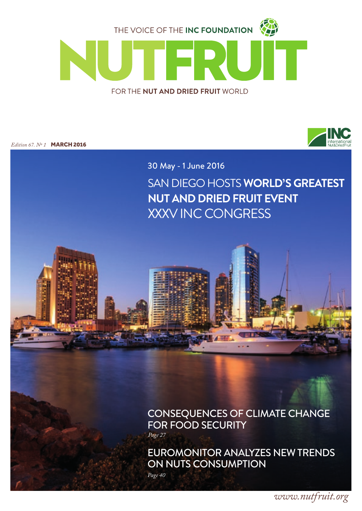

*Edition 67. Nº 1* MARCH 2016



30 May - 1 June 2016

SAN DIEGO HOSTS **WORLD'S GREATEST NUT AND DRIED FRUIT EVENT** XXXV INC CONGRESS

## *Page 27* CONSEQUENCES OF CLIMATE CHANGE FOR FOOD SECURITY

EUROMONITOR ANALYZES NEW TRENDS ON NUTS CONSUMPTION

*Page 40*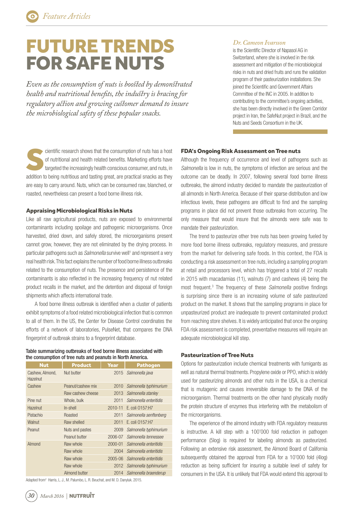# FUTURE TRENDS FOR SAFE NUTS

*Even as the consumption of nuts is boosted by demonstrated health and nutritional benefits, the industry is bracing for*  regulatory action and growing customer demand to insure *the microbiological safety of these popular snacks.*

#### *Dr. Cameon Ivarsson*

is the Scientific Director of Napasol AG in Switzerland, where she is involved in the risk assessment and mitigation of the microbiological risks in nuts and dried fruits and runs the validation program of their pasteurization installations. She joined the Scientific and Government Affairs Committee of the INC in 2005. In addition to contributing to the committee's ongoing activities, she has been directly involved in the Green Corridor project in Iran, the SafeNut project in Brazil, and the Nuts and Seeds Consortium in the UK.

Consumption of nuts has a host<br>of nutritional and health related benefits. Marketing efforts have<br>targeted the increasingly health conscious consumer, and nuts, in<br>addition to being puttitions and testing areat, are prosti of nutritional and health related benefits. Marketing efforts have targeted the increasingly health conscious consumer, and nuts, in addition to being nutritious and tasting great, are practical snacks as they are easy to carry around. Nuts, which can be consumed raw, blanched, or roasted, nevertheless can present a food borne illness risk.

#### Appraising Microbiological Risks in Nuts

Like all raw agricultural products, nuts are exposed to environmental contaminants including spoilage and pathogenic microorganisms. Once harvested, dried down, and safely stored, the microorganisms present cannot grow, however, they are not eliminated by the drying process. In particular pathogens such as *Salmonella* survive well<sup>1</sup> and represent a very real health risk. This fact explains the number of food borne illness outbreaks related to the consumption of nuts. The presence and persistence of the contaminants is also reflected in the increasing frequency of nut related product recalls in the market, and the detention and disposal of foreign shipments which affects international trade.

A food borne illness outbreak is identified when a cluster of patients exhibit symptoms of a food related microbiological infection that is common to all of them. In the US, the Center for Disease Control coordinates the efforts of a network of laboratories, PulseNet, that compares the DNA fingerprint of outbreak strains to a fingerprint database.

#### Table summarizing outbreaks of food borne illness associated with the consumption of tree nuts and peanuts in North America.

| <b>Nut</b>                         | <b>Product</b>    | Year        | <b>Pathogen</b>        |
|------------------------------------|-------------------|-------------|------------------------|
| Cashew, Almond,<br><b>Hazelnut</b> | Nut butter        | 2015        | Salmonella java        |
| Cashew                             | Peanut/cashew mix | 2010        | Salmonella typhimurium |
|                                    | Raw cashew cheese | 2013        | Salmonella stanley     |
| Pine nut                           | Whole, bulk       | 2011        | Salmonella enteritidis |
| <b>Hazelnut</b>                    | In-shell          | 2010-11     | E. coli 0157:H7        |
| Pistachio                          | Roasted           | 2011        | Salmonella senftenberg |
| Walnut                             | Raw shelled       | 2011        | E. coli 0157:H7        |
| Peanut                             | Nuts and pastes   | 2009        | Salmonella typhimurium |
|                                    | Peanut butter     | 2006-07     | Salmonella tennessee   |
| Almond                             | Raw whole         | $2000 - 01$ | Salmonella enteritidis |
|                                    | Raw whole         | 2004        | Salmonella enteritidis |
|                                    | Raw whole         | 2005-06     | Salmonella enteritidis |
|                                    | Raw whole         | 2012        | Salmonella typhimurium |
|                                    | Almond butter     | 2014        | Salmonella braenderup  |

Adapted from<sup>2</sup> Harris, L. J., M. Palumbo, L. R. Beuchat, and M. D. Danyluk. 2015.

#### FDA's Ongoing Risk Assessment on Tree nuts

Although the frequency of occurrence and level of pathogens such as *Salmonella* is low in nuts, the symptoms of infection are serious and the outcome can be deadly. In 2007, following several food borne illness outbreaks, the almond industry decided to mandate the pasteurization of all almonds in North America. Because of their sparse distribution and low infectious levels, these pathogens are difficult to find and the sampling programs in place did not prevent those outbreaks from occurring. The only measure that would insure that the almonds were safe was to mandate their pasteurization.

The trend to pasteurize other tree nuts has been growing fueled by more food borne illness outbreaks, regulatory measures, and pressure from the market for delivering safe foods. In this context, the FDA is conducting a risk assessment on tree nuts, including a sampling program at retail and processors level, which has triggered a total of 27 recalls in 2015 with macadamias (11), walnuts (7) and cashews (4) being the most frequent.3 The frequency of these *Salmonella* positive findings is surprising since there is an increasing volume of safe pasteurized product on the market. It shows that the sampling programs in place for unpasteurized product are inadequate to prevent contaminated product from reaching store shelves. It is widely anticipated that once the ongoing FDA risk assessment is completed, preventative measures will require an adequate microbiological kill step.

#### Pasteurization of Tree Nuts

Options for pasteurization include chemical treatments with fumigants as well as natural thermal treatments. Propylene oxide or PPO, which is widely used for pasteurizing almonds and other nuts in the USA, is a chemical that is mutagenic and causes irreversible damage to the DNA of the microorganism. Thermal treatments on the other hand physically modify the protein structure of enzymes thus interfering with the metabolism of the microorganisms.

The experience of the almond industry with FDA regulatory measures is instructive. A kill step with a 100'000 fold reduction in pathogen performance (5log) is required for labeling almonds as pasteurized. Following an extensive risk assessment, the Almond Board of California subsequently obtained the approval from FDA for a 10'000 fold (4log) reduction as being sufficient for insuring a suitable level of safety for consumers in the USA. It is unlikely that FDA would extend this approval to